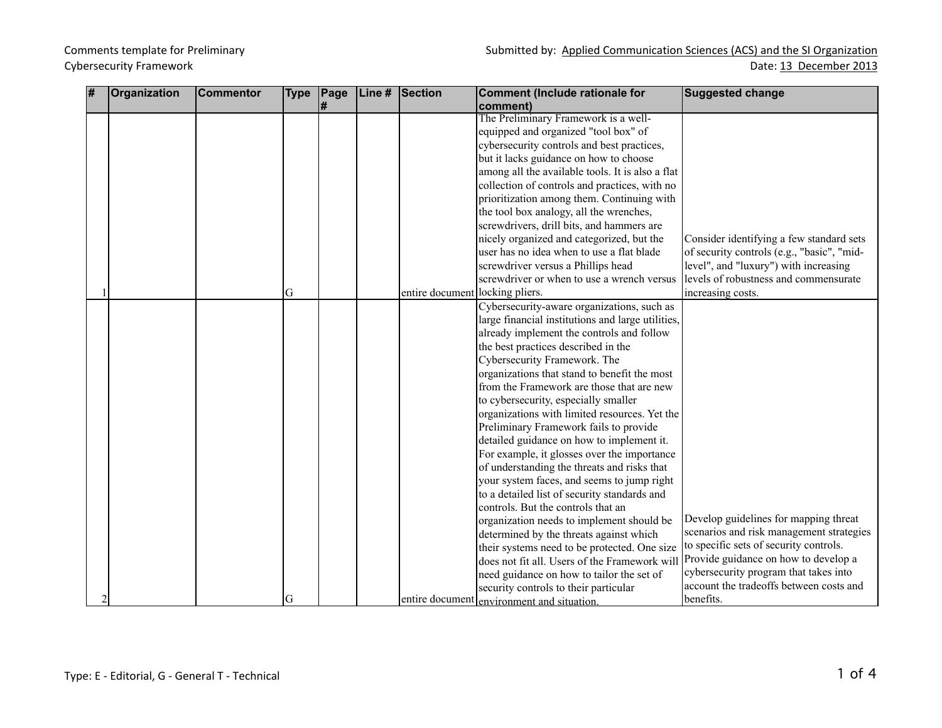| # | <b>Organization</b> | <b>Commentor</b> | <b>Type</b> | Page | Line # | <b>Section</b>                  | <b>Comment (Include rationale for</b>             | <b>Suggested change</b>                    |
|---|---------------------|------------------|-------------|------|--------|---------------------------------|---------------------------------------------------|--------------------------------------------|
|   |                     |                  |             | #    |        |                                 | comment)                                          |                                            |
|   |                     |                  |             |      |        |                                 | The Preliminary Framework is a well-              |                                            |
|   |                     |                  |             |      |        |                                 | equipped and organized "tool box" of              |                                            |
|   |                     |                  |             |      |        |                                 | cybersecurity controls and best practices,        |                                            |
|   |                     |                  |             |      |        |                                 | but it lacks guidance on how to choose            |                                            |
|   |                     |                  |             |      |        |                                 | among all the available tools. It is also a flat  |                                            |
|   |                     |                  |             |      |        |                                 | collection of controls and practices, with no     |                                            |
|   |                     |                  |             |      |        |                                 | prioritization among them. Continuing with        |                                            |
|   |                     |                  |             |      |        |                                 | the tool box analogy, all the wrenches,           |                                            |
|   |                     |                  |             |      |        |                                 | screwdrivers, drill bits, and hammers are         |                                            |
|   |                     |                  |             |      |        |                                 | nicely organized and categorized, but the         | Consider identifying a few standard sets   |
|   |                     |                  |             |      |        |                                 | user has no idea when to use a flat blade         | of security controls (e.g., "basic", "mid- |
|   |                     |                  |             |      |        |                                 | screwdriver versus a Phillips head                | level", and "luxury") with increasing      |
|   |                     |                  |             |      |        |                                 | screwdriver or when to use a wrench versus        | levels of robustness and commensurate      |
|   |                     |                  | G           |      |        | entire document locking pliers. |                                                   | increasing costs.                          |
|   |                     |                  |             |      |        |                                 | Cybersecurity-aware organizations, such as        |                                            |
|   |                     |                  |             |      |        |                                 | large financial institutions and large utilities, |                                            |
|   |                     |                  |             |      |        |                                 | already implement the controls and follow         |                                            |
|   |                     |                  |             |      |        |                                 | the best practices described in the               |                                            |
|   |                     |                  |             |      |        |                                 | Cybersecurity Framework. The                      |                                            |
|   |                     |                  |             |      |        |                                 | organizations that stand to benefit the most      |                                            |
|   |                     |                  |             |      |        |                                 | from the Framework are those that are new         |                                            |
|   |                     |                  |             |      |        |                                 | to cybersecurity, especially smaller              |                                            |
|   |                     |                  |             |      |        |                                 | organizations with limited resources. Yet the     |                                            |
|   |                     |                  |             |      |        |                                 | Preliminary Framework fails to provide            |                                            |
|   |                     |                  |             |      |        |                                 | detailed guidance on how to implement it.         |                                            |
|   |                     |                  |             |      |        |                                 | For example, it glosses over the importance       |                                            |
|   |                     |                  |             |      |        |                                 | of understanding the threats and risks that       |                                            |
|   |                     |                  |             |      |        |                                 | your system faces, and seems to jump right        |                                            |
|   |                     |                  |             |      |        |                                 | to a detailed list of security standards and      |                                            |
|   |                     |                  |             |      |        |                                 | controls. But the controls that an                |                                            |
|   |                     |                  |             |      |        |                                 | organization needs to implement should be         | Develop guidelines for mapping threat      |
|   |                     |                  |             |      |        |                                 | determined by the threats against which           | scenarios and risk management strategies   |
|   |                     |                  |             |      |        |                                 | their systems need to be protected. One size      | to specific sets of security controls.     |
|   |                     |                  |             |      |        |                                 | does not fit all. Users of the Framework will     | Provide guidance on how to develop a       |
|   |                     |                  |             |      |        |                                 | need guidance on how to tailor the set of         | cybersecurity program that takes into      |
|   |                     |                  |             |      |        |                                 | security controls to their particular             | account the tradeoffs between costs and    |
|   |                     |                  | G           |      |        |                                 | entire document environment and situation.        | benefits.                                  |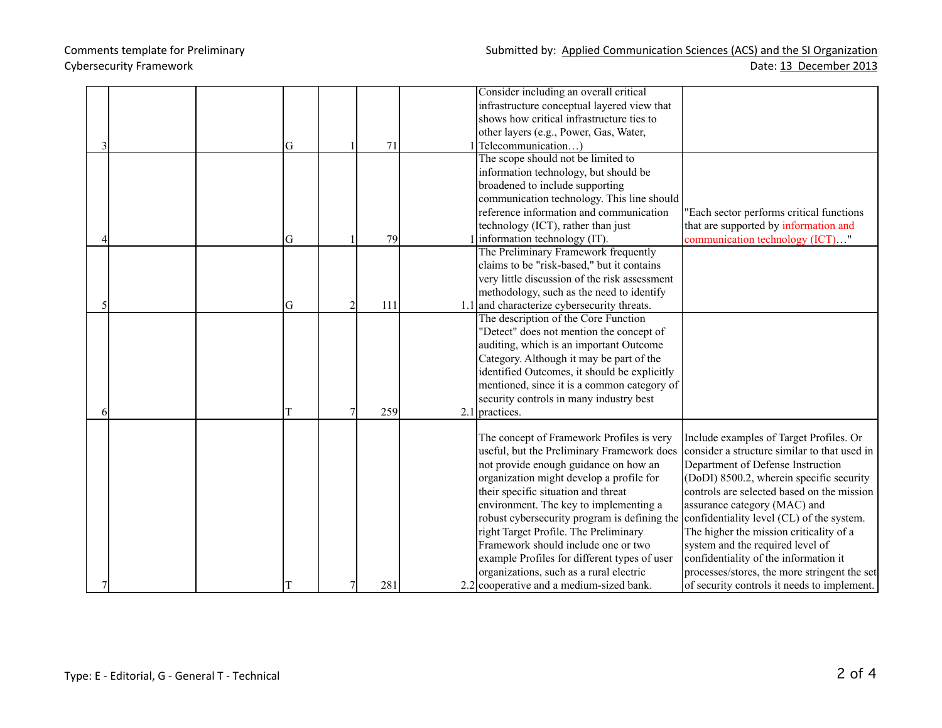|  |  |   |                |     | Consider including an overall critical        |                                              |
|--|--|---|----------------|-----|-----------------------------------------------|----------------------------------------------|
|  |  |   |                |     | infrastructure conceptual layered view that   |                                              |
|  |  |   |                |     | shows how critical infrastructure ties to     |                                              |
|  |  |   |                |     | other layers (e.g., Power, Gas, Water,        |                                              |
|  |  | G |                | 71  | Telecommunication)                            |                                              |
|  |  |   |                |     | The scope should not be limited to            |                                              |
|  |  |   |                |     | information technology, but should be         |                                              |
|  |  |   |                |     | broadened to include supporting               |                                              |
|  |  |   |                |     | communication technology. This line should    |                                              |
|  |  |   |                |     | reference information and communication       | "Each sector performs critical functions     |
|  |  |   |                |     | technology (ICT), rather than just            | that are supported by information and        |
|  |  | G |                | 79  | information technology (IT).                  | communication technology (ICT)"              |
|  |  |   |                |     | The Preliminary Framework frequently          |                                              |
|  |  |   |                |     | claims to be "risk-based," but it contains    |                                              |
|  |  |   |                |     | very little discussion of the risk assessment |                                              |
|  |  |   |                |     | methodology, such as the need to identify     |                                              |
|  |  | G | $\overline{2}$ | 111 | 1.1 and characterize cybersecurity threats.   |                                              |
|  |  |   |                |     | The description of the Core Function          |                                              |
|  |  |   |                |     | "Detect" does not mention the concept of      |                                              |
|  |  |   |                |     | auditing, which is an important Outcome       |                                              |
|  |  |   |                |     | Category. Although it may be part of the      |                                              |
|  |  |   |                |     | identified Outcomes, it should be explicitly  |                                              |
|  |  |   |                |     | mentioned, since it is a common category of   |                                              |
|  |  |   |                |     | security controls in many industry best       |                                              |
|  |  |   |                | 259 | $2.1$ practices.                              |                                              |
|  |  |   |                |     |                                               |                                              |
|  |  |   |                |     | The concept of Framework Profiles is very     | Include examples of Target Profiles. Or      |
|  |  |   |                |     | useful, but the Preliminary Framework does    | consider a structure similar to that used in |
|  |  |   |                |     | not provide enough guidance on how an         | Department of Defense Instruction            |
|  |  |   |                |     | organization might develop a profile for      | (DoDI) 8500.2, wherein specific security     |
|  |  |   |                |     | their specific situation and threat           | controls are selected based on the mission   |
|  |  |   |                |     | environment. The key to implementing a        | assurance category (MAC) and                 |
|  |  |   |                |     | robust cybersecurity program is defining the  | confidentiality level (CL) of the system.    |
|  |  |   |                |     | right Target Profile. The Preliminary         | The higher the mission criticality of a      |
|  |  |   |                |     | Framework should include one or two           | system and the required level of             |
|  |  |   |                |     | example Profiles for different types of user  | confidentiality of the information it        |
|  |  |   |                |     | organizations, such as a rural electric       | processes/stores, the more stringent the set |
|  |  |   | 7              | 281 | 2.2 cooperative and a medium-sized bank.      | of security controls it needs to implement.  |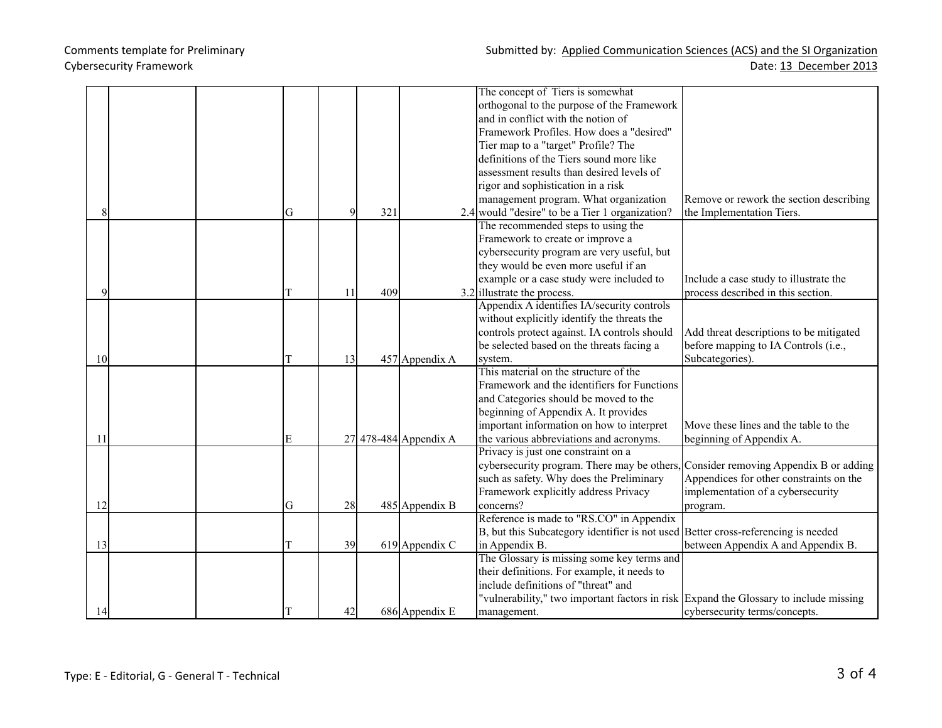|    |  |   |    |     |                       | The concept of Tiers is somewhat                                                      |                                         |
|----|--|---|----|-----|-----------------------|---------------------------------------------------------------------------------------|-----------------------------------------|
|    |  |   |    |     |                       | orthogonal to the purpose of the Framework                                            |                                         |
|    |  |   |    |     |                       | and in conflict with the notion of                                                    |                                         |
|    |  |   |    |     |                       | Framework Profiles. How does a "desired"                                              |                                         |
|    |  |   |    |     |                       | Tier map to a "target" Profile? The                                                   |                                         |
|    |  |   |    |     |                       | definitions of the Tiers sound more like                                              |                                         |
|    |  |   |    |     |                       | assessment results than desired levels of                                             |                                         |
|    |  |   |    |     |                       | rigor and sophistication in a risk                                                    |                                         |
|    |  |   |    |     |                       | management program. What organization                                                 | Remove or rework the section describing |
|    |  | G | 9  | 321 |                       | 2.4 would "desire" to be a Tier 1 organization?                                       | the Implementation Tiers.               |
|    |  |   |    |     |                       | The recommended steps to using the                                                    |                                         |
|    |  |   |    |     |                       | Framework to create or improve a                                                      |                                         |
|    |  |   |    |     |                       | cybersecurity program are very useful, but                                            |                                         |
|    |  |   |    |     |                       | they would be even more useful if an                                                  |                                         |
|    |  |   |    |     |                       | example or a case study were included to                                              | Include a case study to illustrate the  |
|    |  | T | 11 | 409 |                       | $3.2$ illustrate the process.                                                         | process described in this section.      |
|    |  |   |    |     |                       | Appendix A identifies IA/security controls                                            |                                         |
|    |  |   |    |     |                       | without explicitly identify the threats the                                           |                                         |
|    |  |   |    |     |                       | controls protect against. IA controls should                                          | Add threat descriptions to be mitigated |
|    |  |   |    |     |                       | be selected based on the threats facing a                                             | before mapping to IA Controls (i.e.,    |
| 10 |  | T | 13 |     | 457 Appendix A        | system.                                                                               | Subcategories).                         |
|    |  |   |    |     |                       | This material on the structure of the                                                 |                                         |
|    |  |   |    |     |                       | Framework and the identifiers for Functions                                           |                                         |
|    |  |   |    |     |                       | and Categories should be moved to the                                                 |                                         |
|    |  |   |    |     |                       | beginning of Appendix A. It provides                                                  |                                         |
|    |  |   |    |     |                       | important information on how to interpret                                             | Move these lines and the table to the   |
| 11 |  | E |    |     | 27 478-484 Appendix A | the various abbreviations and acronyms.                                               | beginning of Appendix A.                |
|    |  |   |    |     |                       | Privacy is just one constraint on a                                                   |                                         |
|    |  |   |    |     |                       | cybersecurity program. There may be others,                                           | Consider removing Appendix B or adding  |
|    |  |   |    |     |                       | such as safety. Why does the Preliminary                                              | Appendices for other constraints on the |
|    |  |   |    |     |                       | Framework explicitly address Privacy                                                  | implementation of a cybersecurity       |
| 12 |  | G | 28 |     | 485 Appendix B        | concerns?                                                                             | program.                                |
|    |  |   |    |     |                       | Reference is made to "RS.CO" in Appendix                                              |                                         |
|    |  |   |    |     |                       | B, but this Subcategory identifier is not used Better cross-referencing is needed     |                                         |
| 13 |  | T | 39 |     | 619 Appendix C        | in Appendix B.                                                                        | between Appendix A and Appendix B.      |
|    |  |   |    |     |                       | The Glossary is missing some key terms and                                            |                                         |
|    |  |   |    |     |                       | their definitions. For example, it needs to                                           |                                         |
|    |  |   |    |     |                       | include definitions of "threat" and                                                   |                                         |
|    |  |   |    |     |                       | "vulnerability," two important factors in risk Expand the Glossary to include missing |                                         |
| 14 |  |   | 42 |     | 686 Appendix E        | management.                                                                           | cybersecurity terms/concepts.           |